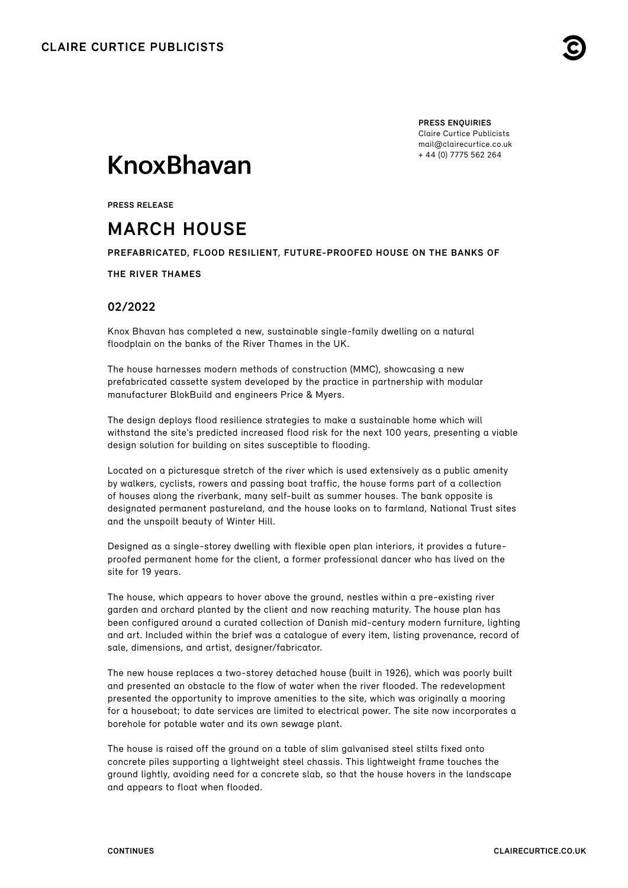

**PRESS ENQUIRIES** Claire Curtice Publicists [mail@clairecurtice.co.uk](mailto:mail@clairecurtice.co.uk?subject=Knox Bhavan - March House) + 44 (0) 7775 562 264

# **KnoxBhavan**

**PRESS RELEASE**

## **MARCH HOUSE**

**PREFABRICATED, FLOOD RESILIENT, FUTURE-PROOFED HOUSE ON THE BANKS OF** 

**THE RIVER THAMES** 

### **02/2022**

Knox Bhavan has completed a new, sustainable single-family dwelling on a natural floodplain on the banks of the River Thames in the UK.

The house harnesses modern methods of construction (MMC), showcasing a new prefabricated cassette system developed by the practice in partnership with modular manufacturer BlokBuild and engineers Price & Myers.

The design deploys flood resilience strategies to make a sustainable home which will withstand the site's predicted increased flood risk for the next 100 years, presenting a viable design solution for building on sites susceptible to flooding.

Located on a picturesque stretch of the river which is used extensively as a public amenity by walkers, cyclists, rowers and passing boat traffic, the house forms part of a collection of houses along the riverbank, many self-built as summer houses. The bank opposite is designated permanent pastureland, and the house looks on to farmland, National Trust sites and the unspoilt beauty of Winter Hill.

Designed as a single-storey dwelling with flexible open plan interiors, it provides a futureproofed permanent home for the client, a former professional dancer who has lived on the site for 19 years.

The house, which appears to hover above the ground, nestles within a pre-existing river garden and orchard planted by the client and now reaching maturity. The house plan has been configured around a curated collection of Danish mid-century modern furniture, lighting and art. Included within the brief was a catalogue of every item, listing provenance, record of sale, dimensions, and artist, designer/fabricator.

The new house replaces a two-storey detached house (built in 1926), which was poorly built and presented an obstacle to the flow of water when the river flooded. The redevelopment presented the opportunity to improve amenities to the site, which was originally a mooring for a houseboat; to date services are limited to electrical power. The site now incorporates a borehole for potable water and its own sewage plant.

The house is raised off the ground on a table of slim galvanised steel stilts fixed onto concrete piles supporting a lightweight steel chassis. This lightweight frame touches the ground lightly, avoiding need for a concrete slab, so that the house hovers in the landscape and appears to float when flooded.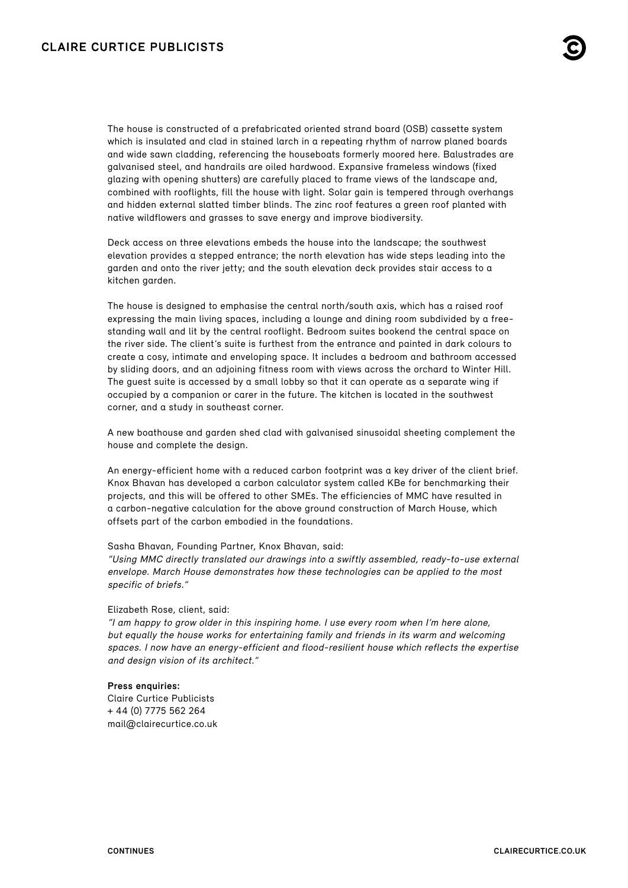The house is constructed of a prefabricated oriented strand board (OSB) cassette system which is insulated and clad in stained larch in a repeating rhythm of narrow planed boards and wide sawn cladding, referencing the houseboats formerly moored here. Balustrades are galvanised steel, and handrails are oiled hardwood. Expansive frameless windows (fixed glazing with opening shutters) are carefully placed to frame views of the landscape and, combined with rooflights, fill the house with light. Solar gain is tempered through overhangs and hidden external slatted timber blinds. The zinc roof features a green roof planted with native wildflowers and grasses to save energy and improve biodiversity.

Deck access on three elevations embeds the house into the landscape; the southwest elevation provides a stepped entrance; the north elevation has wide steps leading into the garden and onto the river jetty; and the south elevation deck provides stair access to a kitchen garden.

The house is designed to emphasise the central north/south axis, which has a raised roof expressing the main living spaces, including a lounge and dining room subdivided by a freestanding wall and lit by the central rooflight. Bedroom suites bookend the central space on the river side. The client's suite is furthest from the entrance and painted in dark colours to create a cosy, intimate and enveloping space. It includes a bedroom and bathroom accessed by sliding doors, and an adjoining fitness room with views across the orchard to Winter Hill. The guest suite is accessed by a small lobby so that it can operate as a separate wing if occupied by a companion or carer in the future. The kitchen is located in the southwest corner, and a study in southeast corner.

A new boathouse and garden shed clad with galvanised sinusoidal sheeting complement the house and complete the design.

An energy-efficient home with a reduced carbon footprint was a key driver of the client brief. Knox Bhavan has developed a carbon calculator system called KBe for benchmarking their projects, and this will be offered to other SMEs. The efficiencies of MMC have resulted in a carbon-negative calculation for the above ground construction of March House, which offsets part of the carbon embodied in the foundations.

#### Sasha Bhavan, Founding Partner, Knox Bhavan, said:

"Using MMC directly translated our drawings into a swiftly assembled, ready-to-use external envelope. March House demonstrates how these technologies can be applied to the most specific of briefs."

#### Elizabeth Rose, client, said:

"I am happy to grow older in this inspiring home. I use every room when I'm here alone, but equally the house works for entertaining family and friends in its warm and welcoming spaces. I now have an energy-efficient and flood-resilient house which reflects the expertise and design vision of its architect."

#### **Press enquiries:**

Claire Curtice Publicists + 44 (0) 7775 562 264 [mail@clairecurtice.co.uk](mailto:mail@clairecurtice.co.uk?subject=Knox Bhavan - March House)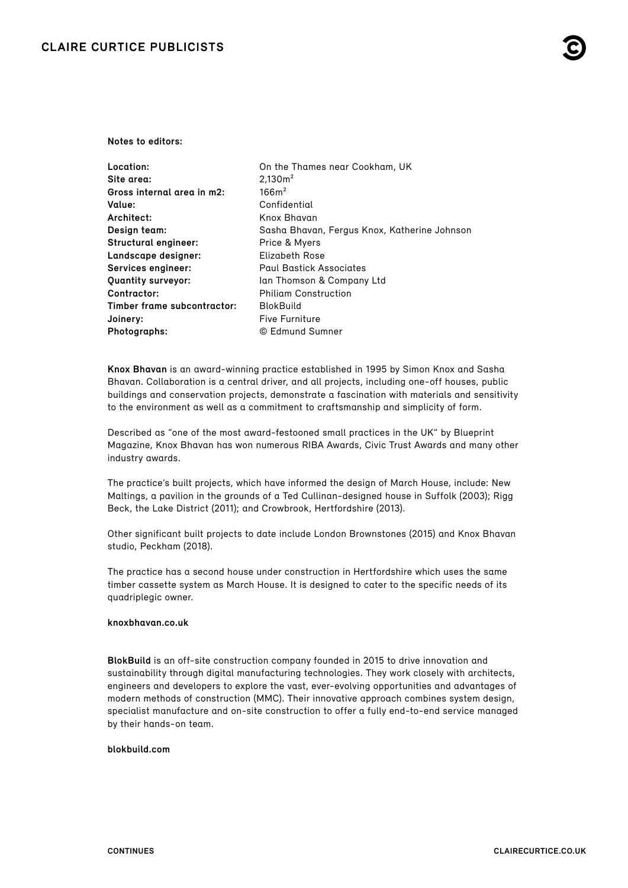#### **Notes to editors:**

| <b>Location:</b>            | On the Thames near Cookham, UK               |
|-----------------------------|----------------------------------------------|
| Site area:                  | 2.130 <sup>2</sup>                           |
| Gross internal area in m2:  | 166m <sup>2</sup>                            |
| Value:                      | Confidential                                 |
| Architect:                  | Knox Bhavan                                  |
| Design team:                | Sasha Bhavan, Fergus Knox, Katherine Johnson |
| Structural engineer:        | Price & Myers                                |
| Landscape designer:         | Elizabeth Rose                               |
| Services engineer:          | <b>Paul Bastick Associates</b>               |
| <b>Quantity surveyor:</b>   | Ian Thomson & Company Ltd                    |
| Contractor:                 | <b>Philiam Construction</b>                  |
| Timber frame subcontractor: | <b>BlokBuild</b>                             |
| Joinery:                    | <b>Five Furniture</b>                        |
| Photographs:                | © Edmund Sumner                              |

**Knox Bhavan** is an award-winning practice established in 1995 by Simon Knox and Sasha Bhavan. Collaboration is a central driver, and all projects, including one-off houses, public buildings and conservation projects, demonstrate a fascination with materials and sensitivity to the environment as well as a commitment to craftsmanship and simplicity of form.

Described as "one of the most award-festooned small practices in the UK" by Blueprint Magazine, Knox Bhavan has won numerous RIBA Awards, Civic Trust Awards and many other industry awards.

The practice's built projects, which have informed the design of March House, include: New Maltings, a pavilion in the grounds of a Ted Cullinan-designed house in Suffolk (2003); Rigg Beck, the Lake District (2011); and Crowbrook, Hertfordshire (2013).

Other significant built projects to date include London Brownstones (2015) and Knox Bhavan studio, Peckham (2018).

The practice has a second house under construction in Hertfordshire which uses the same timber cassette system as March House. It is designed to cater to the specific needs of its quadriplegic owner.

#### **knoxbhavan.co.uk**

**BlokBuild** is an off-site construction company founded in 2015 to drive innovation and sustainability through digital manufacturing technologies. They work closely with architects, engineers and developers to explore the vast, ever-evolving opportunities and advantages of modern methods of construction (MMC). Their innovative approach combines system design, specialist manufacture and on-site construction to offer a fully end-to-end service managed by their hands-on team.

#### **[blokbuild.com](https://www.blokbuild.com)**